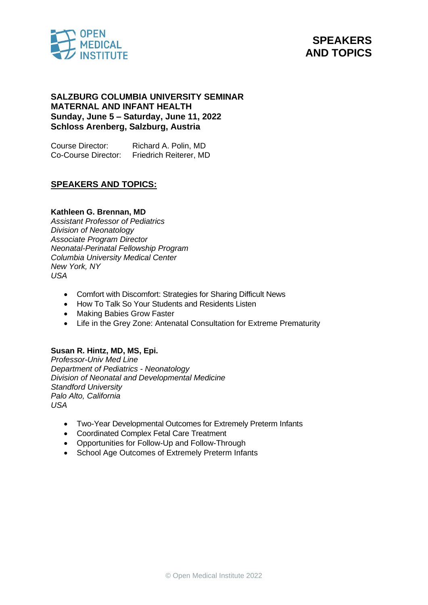



# **SALZBURG COLUMBIA UNIVERSITY SEMINAR MATERNAL AND INFANT HEALTH Sunday, June 5 – Saturday, June 11, 2022 Schloss Arenberg, Salzburg, Austria**

Course Director: Richard A. Polin, MD Co-Course Director: Friedrich Reiterer, MD

# **SPEAKERS AND TOPICS:**

### **Kathleen G. Brennan, MD**

*Assistant Professor of Pediatrics Division of Neonatology Associate Program Director Neonatal-Perinatal Fellowship Program Columbia University Medical Center New York, NY USA*

- Comfort with Discomfort: Strategies for Sharing Difficult News
- How To Talk So Your Students and Residents Listen
- Making Babies Grow Faster
- Life in the Grey Zone: Antenatal Consultation for Extreme Prematurity

#### **Susan R. Hintz, MD, MS, Epi.**

*Professor-Univ Med Line Department of Pediatrics - Neonatology Division of Neonatal and Developmental Medicine Standford University Palo Alto, California USA*

- Two-Year Developmental Outcomes for Extremely Preterm Infants
- Coordinated Complex Fetal Care Treatment
- Opportunities for Follow-Up and Follow-Through
- School Age Outcomes of Extremely Preterm Infants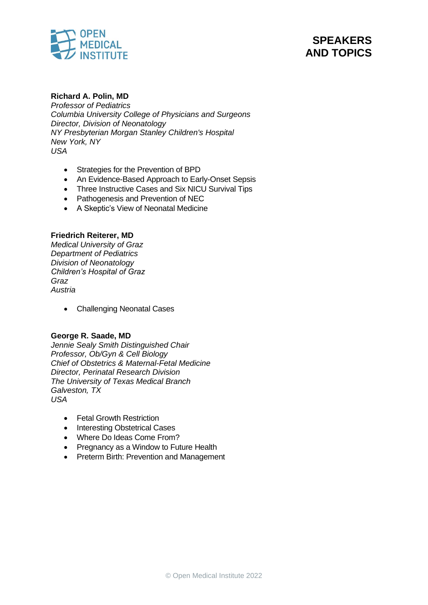



# **Richard A. Polin, MD**

*Professor of Pediatrics Columbia University College of Physicians and Surgeons Director, Division of Neonatology NY Presbyterian Morgan Stanley Children's Hospital New York, NY USA*

- Strategies for the Prevention of BPD
- An Evidence-Based Approach to Early-Onset Sepsis
- Three Instructive Cases and Six NICU Survival Tips
- Pathogenesis and Prevention of NEC
- A Skeptic's View of Neonatal Medicine

# **Friedrich Reiterer, MD**

*Medical University of Graz Department of Pediatrics Division of Neonatology Children's Hospital of Graz Graz Austria*

• Challenging Neonatal Cases

### **George R. Saade, MD**

*Jennie Sealy Smith Distinguished Chair Professor, Ob/Gyn & Cell Biology Chief of Obstetrics & Maternal-Fetal Medicine Director, Perinatal Research Division The University of Texas Medical Branch Galveston, TX USA*

- Fetal Growth Restriction
- Interesting Obstetrical Cases
- Where Do Ideas Come From?
- Pregnancy as a Window to Future Health
- Preterm Birth: Prevention and Management